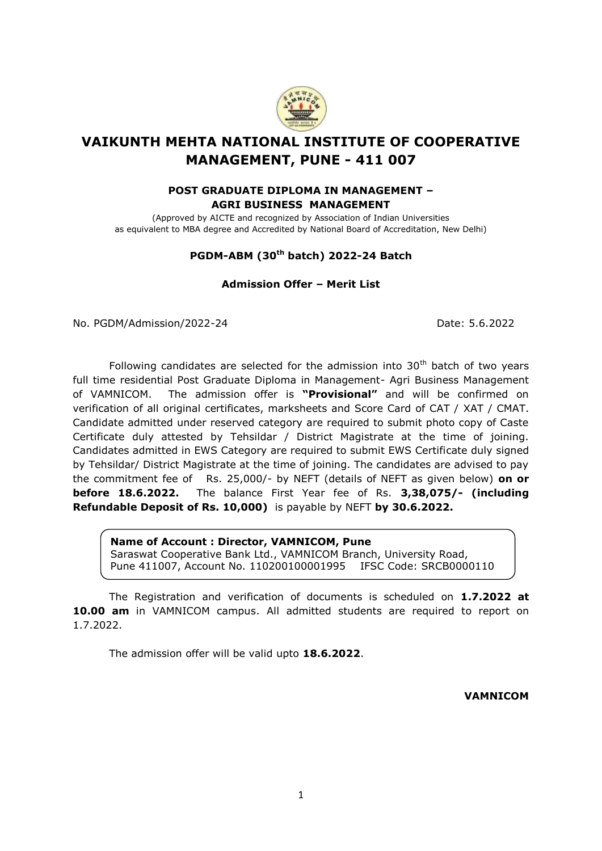

# **VAIKUNTH MEHTA NATIONAL INSTITUTE OF COOPERATIVE MANAGEMENT, PUNE - 411 007**

### **POST GRADUATE DIPLOMA IN MANAGEMENT – AGRI BUSINESS MANAGEMENT**

(Approved by AICTE and recognized by Association of Indian Universities as equivalent to MBA degree and Accredited by National Board of Accreditation, New Delhi)

### **PGDM-ABM (30 th batch) 2022-24 Batch**

### **Admission Offer – Merit List**

No. PGDM/Admission/2022-24 Date: 5.6.2022

Following candidates are selected for the admission into  $30<sup>th</sup>$  batch of two years full time residential Post Graduate Diploma in Management- Agri Business Management of VAMNICOM. The admission offer is **"Provisional"** and will be confirmed on verification of all original certificates, marksheets and Score Card of CAT / XAT / CMAT. Candidate admitted under reserved category are required to submit photo copy of Caste Certificate duly attested by Tehsildar / District Magistrate at the time of joining. Candidates admitted in EWS Category are required to submit EWS Certificate duly signed by Tehsildar/ District Magistrate at the time of joining. The candidates are advised to pay the commitment fee of Rs. 25,000/- by NEFT (details of NEFT as given below) **on or before 18.6.2022.** The balance First Year fee of Rs. **3,38,075/- (including Refundable Deposit of Rs. 10,000)** is payable by NEFT **by 30.6.2022.**

#### **Name of Account : Director, VAMNICOM, Pune**

Saraswat Cooperative Bank Ltd., VAMNICOM Branch, University Road, Pune 411007, Account No. 110200100001995 IFSC Code: SRCB0000110

The Registration and verification of documents is scheduled on **1.7.2022 at 10.00 am** in VAMNICOM campus. All admitted students are required to report on 1.7.2022.

The admission offer will be valid upto **18.6.2022**.

**VAMNICOM**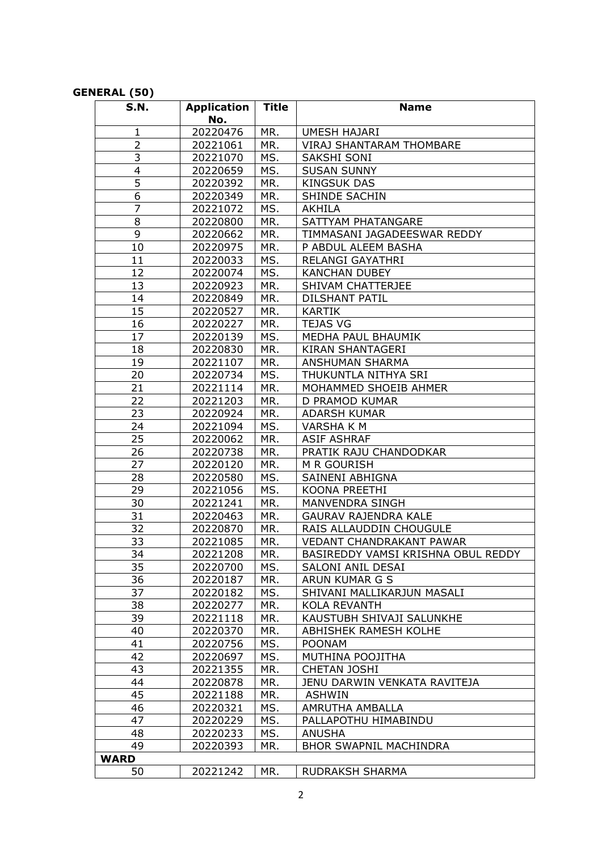## **GENERAL (50)**

| <b>S.N.</b>    | <b>Application</b> | <b>Title</b> | <b>Name</b>                        |
|----------------|--------------------|--------------|------------------------------------|
|                | No.                |              |                                    |
| 1              | 20220476           | MR.          | <b>UMESH HAJARI</b>                |
| $\overline{2}$ | 20221061           | MR.          | <b>VIRAJ SHANTARAM THOMBARE</b>    |
| 3              | 20221070           | MS.          | SAKSHI SONI                        |
| 4              | 20220659           | MS.          | <b>SUSAN SUNNY</b>                 |
| 5              | 20220392           | MR.          | <b>KINGSUK DAS</b>                 |
| 6              | 20220349           | MR.          | SHINDE SACHIN                      |
| $\overline{7}$ | 20221072           | MS.          | <b>AKHILA</b>                      |
| 8              | 20220800           | MR.          | SATTYAM PHATANGARE                 |
| 9              | 20220662           | MR.          | TIMMASANI JAGADEESWAR REDDY        |
| 10             | 20220975           | MR.          | P ABDUL ALEEM BASHA                |
| 11             | 20220033           | MS.          | RELANGI GAYATHRI                   |
| 12             | 20220074           | MS.          | <b>KANCHAN DUBEY</b>               |
| 13             | 20220923           | MR.          | SHIVAM CHATTERJEE                  |
| 14             | 20220849           | MR.          | <b>DILSHANT PATIL</b>              |
| 15             | 20220527           | MR.          | <b>KARTIK</b>                      |
| 16             | 20220227           | MR.          | <b>TEJAS VG</b>                    |
| 17             | 20220139           | MS.          | MEDHA PAUL BHAUMIK                 |
| 18             | 20220830           | MR.          | KIRAN SHANTAGERI                   |
| 19             | 20221107           | MR.          | ANSHUMAN SHARMA                    |
| 20             | 20220734           | MS.          | THUKUNTLA NITHYA SRI               |
| 21             | 20221114           | MR.          | MOHAMMED SHOEIB AHMER              |
| 22             | 20221203           | MR.          | D PRAMOD KUMAR                     |
| 23             | 20220924           | MR.          | ADARSH KUMAR                       |
| 24             | 20221094           | MS.          | VARSHA K M                         |
| 25             | 20220062           | MR.          | <b>ASIF ASHRAF</b>                 |
| 26             | 20220738           | MR.          | PRATIK RAJU CHANDODKAR             |
| 27             | 20220120           | MR.          | M R GOURISH                        |
| 28             | 20220580           | MS.          | SAINENI ABHIGNA                    |
| 29             | 20221056           | MS.          | KOONA PREETHI                      |
| 30             | 20221241           | MR.          | MANVENDRA SINGH                    |
| 31             | 20220463           | MR.          | <b>GAURAV RAJENDRA KALE</b>        |
| 32             | 20220870           | MR.          | RAIS ALLAUDDIN CHOUGULE            |
| 33             | 20221085           | MR.          | VEDANT CHANDRAKANT PAWAR           |
| 34             | 20221208           | MR.          | BASIREDDY VAMSI KRISHNA OBUL REDDY |
| 35             | 20220700           | MS.          | SALONI ANIL DESAI                  |
| 36             | 20220187           | MR.          | ARUN KUMAR G S                     |
| 37             | 20220182           | MS.          | SHIVANI MALLIKARJUN MASALI         |
| 38             | 20220277           | MR.          | KOLA REVANTH                       |
| 39             | 20221118           | MR.          | KAUSTUBH SHIVAJI SALUNKHE          |
| 40             | 20220370           | MR.          | ABHISHEK RAMESH KOLHE              |
| 41             | 20220756           | MS.          | <b>POONAM</b>                      |
| 42             | 20220697           | MS.          | MUTHINA POOJITHA                   |
| 43             | 20221355           | MR.          | <b>CHETAN JOSHI</b>                |
| 44             | 20220878           | MR.          | JENU DARWIN VENKATA RAVITEJA       |
| 45             | 20221188           | MR.          | <b>ASHWIN</b>                      |
| 46             | 20220321           | MS.          | AMRUTHA AMBALLA                    |
| 47             | 20220229           | MS.          | PALLAPOTHU HIMABINDU               |
| 48             | 20220233           | MS.          | <b>ANUSHA</b>                      |
| 49             | 20220393           | MR.          | <b>BHOR SWAPNIL MACHINDRA</b>      |
| <b>WARD</b>    |                    |              |                                    |
| 50             | 20221242           | MR.          | RUDRAKSH SHARMA                    |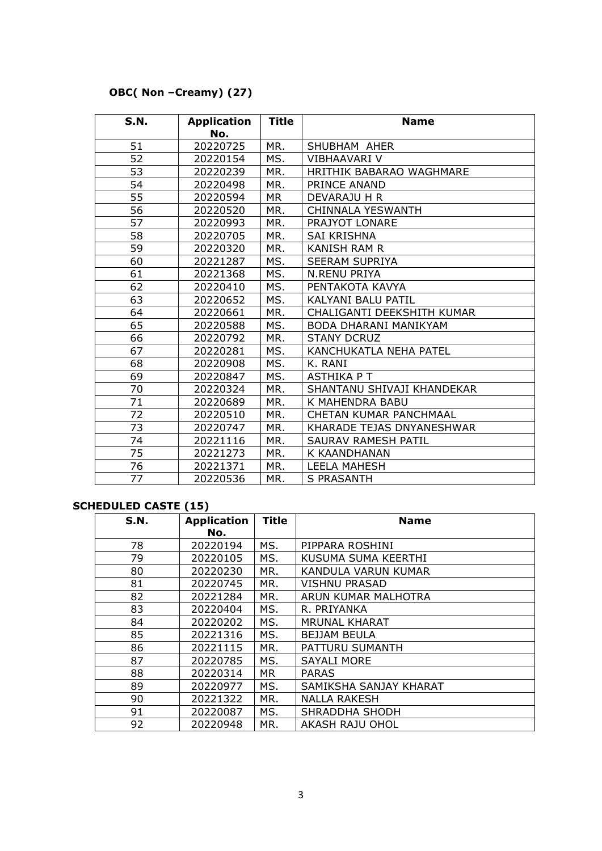## **OBC( Non –Creamy) (27)**

| S.N. | <b>Application</b><br>No. | <b>Title</b> | <b>Name</b>                |
|------|---------------------------|--------------|----------------------------|
| 51   | 20220725                  | MR.          | SHUBHAM AHER               |
|      |                           | MS.          | VIBHAAVARI V               |
| 52   | 20220154                  |              |                            |
| 53   | 20220239                  | MR.          | HRITHIK BABARAO WAGHMARE   |
| 54   | 20220498                  | MR.          | PRINCE ANAND               |
| 55   | 20220594                  | MR           | DEVARAJU H R               |
| 56   | 20220520                  | MR.          | <b>CHINNALA YESWANTH</b>   |
| 57   | 20220993                  | MR.          | PRAJYOT LONARE             |
| 58   | 20220705                  | MR.          | <b>SAI KRISHNA</b>         |
| 59   | 20220320                  | MR.          | <b>KANISH RAM R</b>        |
| 60   | 20221287                  | MS.          | <b>SEERAM SUPRIYA</b>      |
| 61   | 20221368                  | MS.          | <b>N.RENU PRIYA</b>        |
| 62   | 20220410                  | MS.          | PENTAKOTA KAVYA            |
| 63   | 20220652                  | MS.          | KALYANI BALU PATIL         |
| 64   | 20220661                  | MR.          | CHALIGANTI DEEKSHITH KUMAR |
| 65   | 20220588                  | MS.          | BODA DHARANI MANIKYAM      |
| 66   | 20220792                  | MR.          | <b>STANY DCRUZ</b>         |
| 67   | 20220281                  | MS.          | KANCHUKATLA NEHA PATEL     |
| 68   | 20220908                  | MS.          | K. RANI                    |
| 69   | 20220847                  | MS.          | <b>ASTHIKA PT</b>          |
| 70   | 20220324                  | MR.          | SHANTANU SHIVAJI KHANDEKAR |
| 71   | 20220689                  | MR.          | K MAHENDRA BABU            |
| 72   | 20220510                  | MR.          | CHETAN KUMAR PANCHMAAL     |
| 73   | 20220747                  | MR.          | KHARADE TEJAS DNYANESHWAR  |
| 74   | 20221116                  | MR.          | <b>SAURAV RAMESH PATIL</b> |
| 75   | 20221273                  | MR.          | K KAANDHANAN               |
| 76   | 20221371                  | MR.          | LEELA MAHESH               |
| 77   | 20220536                  | MR.          | <b>S PRASANTH</b>          |

## **SCHEDULED CASTE (15)**

| <b>S.N.</b> | <b>Application</b> | <b>Title</b> | <b>Name</b>            |
|-------------|--------------------|--------------|------------------------|
|             | No.                |              |                        |
| 78          | 20220194           | MS.          | PIPPARA ROSHINI        |
| 79          | 20220105           | MS.          | KUSUMA SUMA KEERTHI    |
| 80          | 20220230           | MR.          | KANDULA VARUN KUMAR    |
| 81          | 20220745           | MR.          | <b>VISHNU PRASAD</b>   |
| 82          | 20221284           | MR.          | ARUN KUMAR MALHOTRA    |
| 83          | 20220404           | MS.          | R. PRIYANKA            |
| 84          | 20220202           | MS.          | <b>MRUNAL KHARAT</b>   |
| 85          | 20221316           | MS.          | <b>BEJJAM BEULA</b>    |
| 86          | 20221115           | MR.          | PATTURU SUMANTH        |
| 87          | 20220785           | MS.          | <b>SAYALI MORE</b>     |
| 88          | 20220314           | <b>MR</b>    | <b>PARAS</b>           |
| 89          | 20220977           | MS.          | SAMIKSHA SANJAY KHARAT |
| 90          | 20221322           | MR.          | <b>NALLA RAKESH</b>    |
| 91          | 20220087           | MS.          | SHRADDHA SHODH         |
| 92          | 20220948           | MR.          | AKASH RAJU OHOL        |